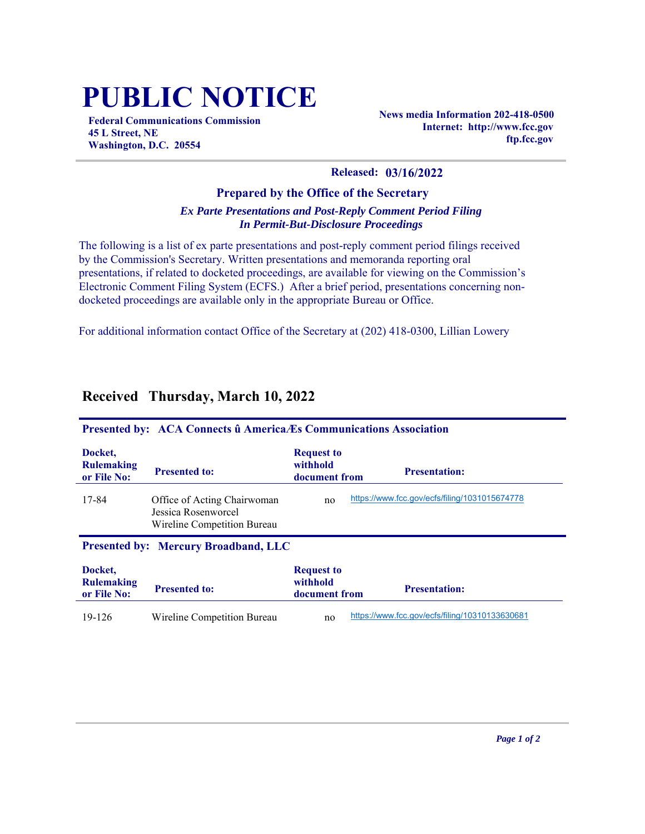# **PUBLIC NOTICE**

**Federal Communications Commission 45 L Street, NE Washington, D.C. 20554**

**News media Information 202-418-0500 Internet: http://www.fcc.gov ftp.fcc.gov**

#### **Released: 03/16/2022**

#### **Prepared by the Office of the Secretary** *Ex Parte Presentations and Post-Reply Comment Period Filing In Permit-But-Disclosure Proceedings*

The following is a list of ex parte presentations and post-reply comment period filings received by the Commission's Secretary. Written presentations and memoranda reporting oral presentations, if related to docketed proceedings, are available for viewing on the Commission's Electronic Comment Filing System (ECFS.) After a brief period, presentations concerning nondocketed proceedings are available only in the appropriate Bureau or Office.

For additional information contact Office of the Secretary at (202) 418-0300, Lillian Lowery

| Presented by: ACA Connects û America Es Communications Association |                                                                                   |                                                |                                                |
|--------------------------------------------------------------------|-----------------------------------------------------------------------------------|------------------------------------------------|------------------------------------------------|
| Docket.<br><b>Rulemaking</b><br>or File No:                        | <b>Presented to:</b>                                                              | <b>Request to</b><br>withhold<br>document from | <b>Presentation:</b>                           |
| 17-84                                                              | Office of Acting Chairwoman<br>Jessica Rosenworcel<br>Wireline Competition Bureau | no                                             | https://www.fcc.gov/ecfs/filing/1031015674778  |
|                                                                    | <b>Presented by: Mercury Broadband, LLC</b>                                       |                                                |                                                |
| Docket.<br><b>Rulemaking</b><br>or File No:                        | <b>Presented to:</b>                                                              | <b>Request to</b><br>withhold<br>document from | <b>Presentation:</b>                           |
| 19-126                                                             | Wireline Competition Bureau                                                       | no                                             | https://www.fcc.gov/ecfs/filing/10310133630681 |

## **Received Thursday, March 10, 2022**